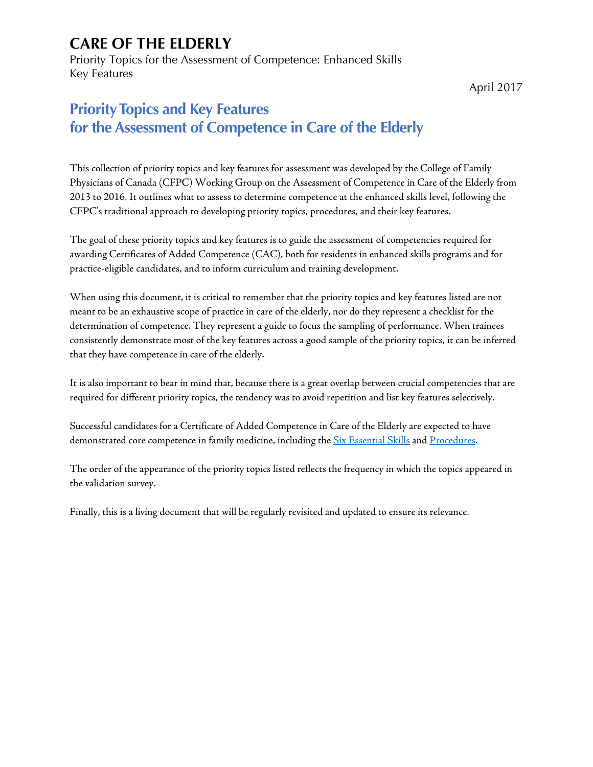Priority Topics for the Assessment of Competence: Enhanced Skills Key Features

April 2017

### **Priority Topics and Key Features for the Assessment of Competence in Care of the Elderly**

This collection of priority topics and key features for assessment was developed by the College of Family Physicians of Canada (CFPC) Working Group on the Assessment of Competence in Care of the Elderly from 2013 to 2016. It outlines what to assess to determine competence at the enhanced skills level, following the CFPC's traditional approach to developing priority topics, procedures, and their key features.

The goal of these priority topics and key features is to guide the assessment of competencies required for awarding Certificates of Added Competence (CAC), both for residents in enhanced skills programs and for practice-eligible candidates, and to inform curriculum and training development.

When using this document, it is critical to remember that the priority topics and key features listed are not meant to be an exhaustive scope of practice in care of the elderly, nor do they represent a checklist for the determination of competence. They represent a guide to focus the sampling of performance. When trainees consistently demonstrate most of the key features across a good sample of the priority topics, it can be inferred that they have competence in care of the elderly.

It is also important to bear in mind that, because there is a great overlap between crucial competencies that are required for different priority topics, the tendency was to avoid repetition and list key features selectively.

Successful candidates for a Certificate of Added Competence in Care of the Elderly are expected to have demonstrated core competence in family medicine, including the [Six Essential Skills](http://www.cfpc.ca/uploadedFiles/Education/Part%20II%20Evaluation%20objectives.pdf) an[d Procedures.](http://www.cfpc.ca/uploadedFiles/Education/Certification_in_Family_Medicine_Examination/Definition%20of%20Competence%20Complete%20Document%20with%20skills%20and%20phases.pdf#page=62)

The order of the appearance of the priority topics listed reflects the frequency in which the topics appeared in the validation survey.

Finally, this is a living document that will be regularly revisited and updated to ensure its relevance.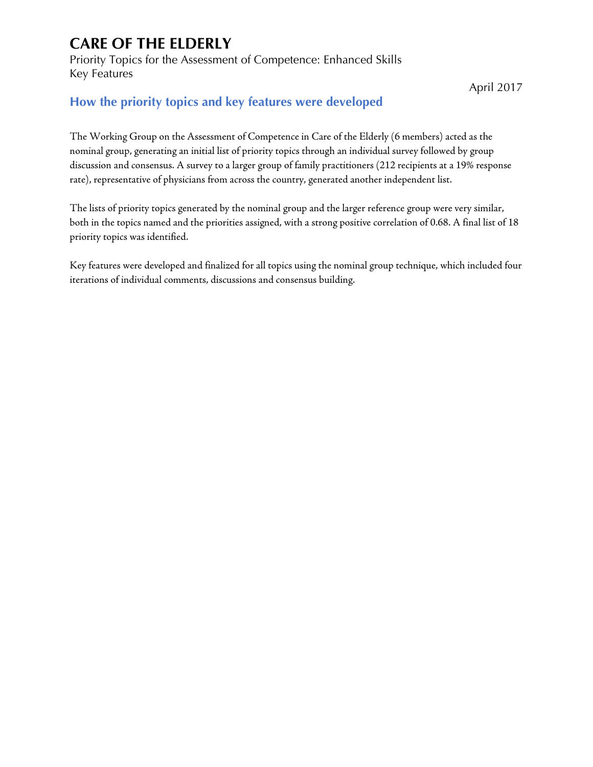Priority Topics for the Assessment of Competence: Enhanced Skills Key Features

April 2017

#### **How the priority topics and key features were developed**

The Working Group on the Assessment of Competence in Care of the Elderly (6 members) acted as the nominal group, generating an initial list of priority topics through an individual survey followed by group discussion and consensus. A survey to a larger group of family practitioners (212 recipients at a 19% response rate), representative of physicians from across the country, generated another independent list.

The lists of priority topics generated by the nominal group and the larger reference group were very similar, both in the topics named and the priorities assigned, with a strong positive correlation of 0.68. A final list of 18 priority topics was identified.

Key features were developed and finalized for all topics using the nominal group technique, which included four iterations of individual comments, discussions and consensus building.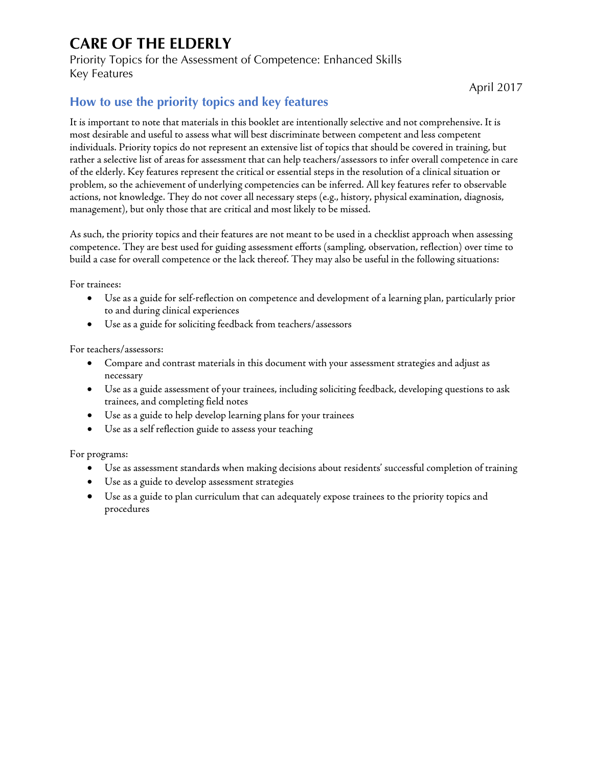Priority Topics for the Assessment of Competence: Enhanced Skills Key Features

April 2017

#### **How to use the priority topics and key features**

It is important to note that materials in this booklet are intentionally selective and not comprehensive. It is most desirable and useful to assess what will best discriminate between competent and less competent individuals. Priority topics do not represent an extensive list of topics that should be covered in training, but rather a selective list of areas for assessment that can help teachers/assessors to infer overall competence in care of the elderly. Key features represent the critical or essential steps in the resolution of a clinical situation or problem, so the achievement of underlying competencies can be inferred. All key features refer to observable actions, not knowledge. They do not cover all necessary steps (e.g., history, physical examination, diagnosis, management), but only those that are critical and most likely to be missed.

As such, the priority topics and their features are not meant to be used in a checklist approach when assessing competence. They are best used for guiding assessment efforts (sampling, observation, reflection) over time to build a case for overall competence or the lack thereof. They may also be useful in the following situations:

For trainees:

- Use as a guide for self-reflection on competence and development of a learning plan, particularly prior to and during clinical experiences
- Use as a guide for soliciting feedback from teachers/assessors

For teachers/assessors:

- Compare and contrast materials in this document with your assessment strategies and adjust as necessary
- Use as a guide assessment of your trainees, including soliciting feedback, developing questions to ask trainees, and completing field notes
- Use as a guide to help develop learning plans for your trainees
- Use as a self reflection guide to assess your teaching

For programs:

- Use as assessment standards when making decisions about residents' successful completion of training
- Use as a guide to develop assessment strategies
- Use as a guide to plan curriculum that can adequately expose trainees to the priority topics and procedures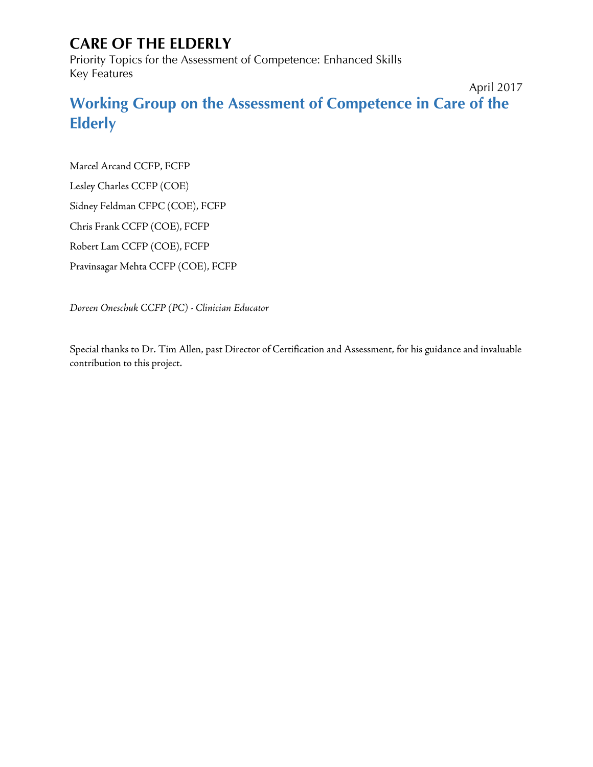Priority Topics for the Assessment of Competence: Enhanced Skills Key Features

April 2017

**Working Group on the Assessment of Competence in Care of the Elderly**

Marcel Arcand CCFP, FCFP

Lesley Charles CCFP (COE)

Sidney Feldman CFPC (COE), FCFP

Chris Frank CCFP (COE), FCFP

Robert Lam CCFP (COE), FCFP

Pravinsagar Mehta CCFP (COE), FCFP

*Doreen Oneschuk CCFP (PC) - Clinician Educator*

Special thanks to Dr. Tim Allen, past Director of Certification and Assessment, for his guidance and invaluable contribution to this project.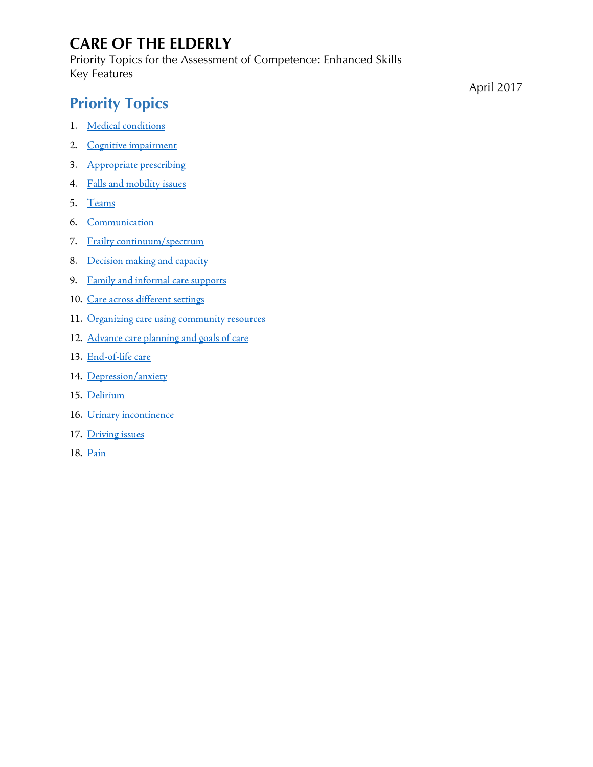Priority Topics for the Assessment of Competence: Enhanced Skills Key Features

# **Priority Topics**

- 1. [Medical conditions](#page-5-0)
- 2. [Cognitive impairment](#page-6-0)
- 3. [Appropriate prescribing](#page-8-0)
- 4. [Falls and mobility issues](#page-9-0)
- 5. [Teams](#page-10-0)
- 6. [Communication](#page-11-0)
- 7. [Frailty continuum/spectrum](#page-12-0)
- 8. [Decision making and capacity](#page-13-0)
- 9. [Family and informal care supports](#page-14-0)
- 10. [Care across different settings](#page-15-0)
- 11. [Organizing care using community resources](#page-16-0)
- 12. [Advance care planning and goals of care](#page-17-0)
- 13. [End-of-life care](#page-18-0)
- 14. [Depression/anxiety](#page-19-0)
- 15. [Delirium](#page-20-0)
- 16. [Urinary incontinence](#page-21-0)
- 17. [Driving issues](#page-22-0)
- 18. [Pain](#page-23-0)

April 2017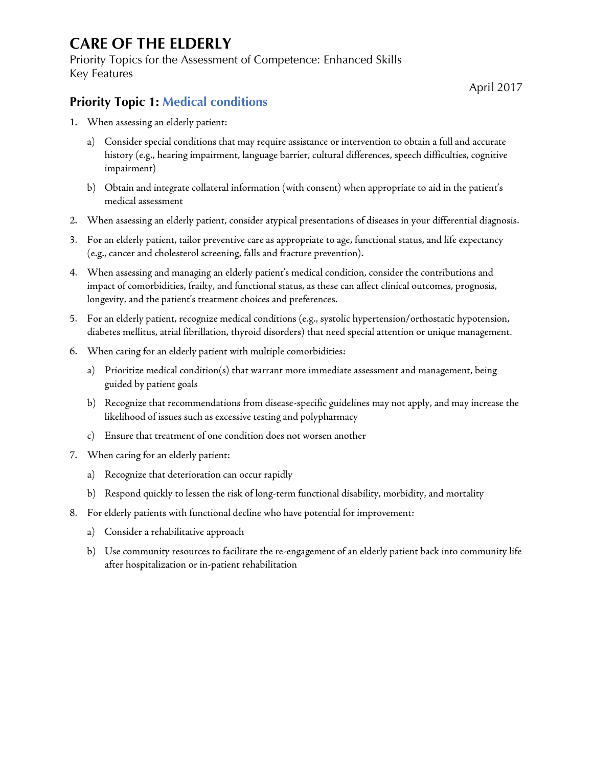Priority Topics for the Assessment of Competence: Enhanced Skills Key Features

April 2017

#### <span id="page-5-0"></span>**Priority Topic 1: Medical conditions**

- 1. When assessing an elderly patient:
	- a) Consider special conditions that may require assistance or intervention to obtain a full and accurate history (e.g., hearing impairment, language barrier, cultural differences, speech difficulties, cognitive impairment)
	- b) Obtain and integrate collateral information (with consent) when appropriate to aid in the patient's medical assessment
- 2. When assessing an elderly patient, consider atypical presentations of diseases in your differential diagnosis.
- 3. For an elderly patient, tailor preventive care as appropriate to age, functional status, and life expectancy (e.g., cancer and cholesterol screening, falls and fracture prevention).
- 4. When assessing and managing an elderly patient's medical condition, consider the contributions and impact of comorbidities, frailty, and functional status, as these can affect clinical outcomes, prognosis, longevity, and the patient's treatment choices and preferences.
- 5. For an elderly patient, recognize medical conditions (e.g., systolic hypertension/orthostatic hypotension, diabetes mellitus, atrial fibrillation, thyroid disorders) that need special attention or unique management.
- 6. When caring for an elderly patient with multiple comorbidities:
	- a) Prioritize medical condition(s) that warrant more immediate assessment and management, being guided by patient goals
	- b) Recognize that recommendations from disease-specific guidelines may not apply, and may increase the likelihood of issues such as excessive testing and polypharmacy
	- c) Ensure that treatment of one condition does not worsen another
- 7. When caring for an elderly patient:
	- a) Recognize that deterioration can occur rapidly
	- b) Respond quickly to lessen the risk of long-term functional disability, morbidity, and mortality
- 8. For elderly patients with functional decline who have potential for improvement:
	- a) Consider a rehabilitative approach
	- b) Use community resources to facilitate the re-engagement of an elderly patient back into community life after hospitalization or in-patient rehabilitation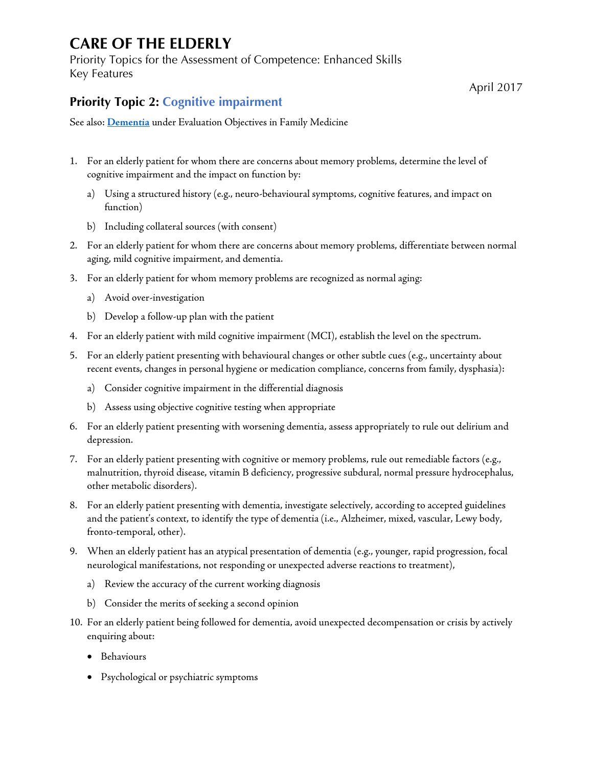Priority Topics for the Assessment of Competence: Enhanced Skills Key Features

April 2017

#### <span id="page-6-0"></span>**Priority Topic 2: Cognitive impairment**

See also: **[Dementia](http://www.cfpc.ca/uploadedFiles/Education/Part%20II%20Evaluation%20objectives.pdf#page=54)** under Evaluation Objectives in Family Medicine

- 1. For an elderly patient for whom there are concerns about memory problems, determine the level of cognitive impairment and the impact on function by:
	- a) Using a structured history (e.g., neuro-behavioural symptoms, cognitive features, and impact on function)
	- b) Including collateral sources (with consent)
- 2. For an elderly patient for whom there are concerns about memory problems, differentiate between normal aging, mild cognitive impairment, and dementia.
- 3. For an elderly patient for whom memory problems are recognized as normal aging:
	- a) Avoid over-investigation
	- b) Develop a follow-up plan with the patient
- 4. For an elderly patient with mild cognitive impairment (MCI), establish the level on the spectrum.
- 5. For an elderly patient presenting with behavioural changes or other subtle cues (e.g., uncertainty about recent events, changes in personal hygiene or medication compliance, concerns from family, dysphasia):
	- a) Consider cognitive impairment in the differential diagnosis
	- b) Assess using objective cognitive testing when appropriate
- 6. For an elderly patient presenting with worsening dementia, assess appropriately to rule out delirium and depression.
- 7. For an elderly patient presenting with cognitive or memory problems, rule out remediable factors (e.g., malnutrition, thyroid disease, vitamin B deficiency, progressive subdural, normal pressure hydrocephalus, other metabolic disorders).
- 8. For an elderly patient presenting with dementia, investigate selectively, according to accepted guidelines and the patient's context, to identify the type of dementia (i.e., Alzheimer, mixed, vascular, Lewy body, fronto-temporal, other).
- 9. When an elderly patient has an atypical presentation of dementia (e.g., younger, rapid progression, focal neurological manifestations, not responding or unexpected adverse reactions to treatment),
	- a) Review the accuracy of the current working diagnosis
	- b) Consider the merits of seeking a second opinion
- 10. For an elderly patient being followed for dementia, avoid unexpected decompensation or crisis by actively enquiring about:
	- Behaviours
	- Psychological or psychiatric symptoms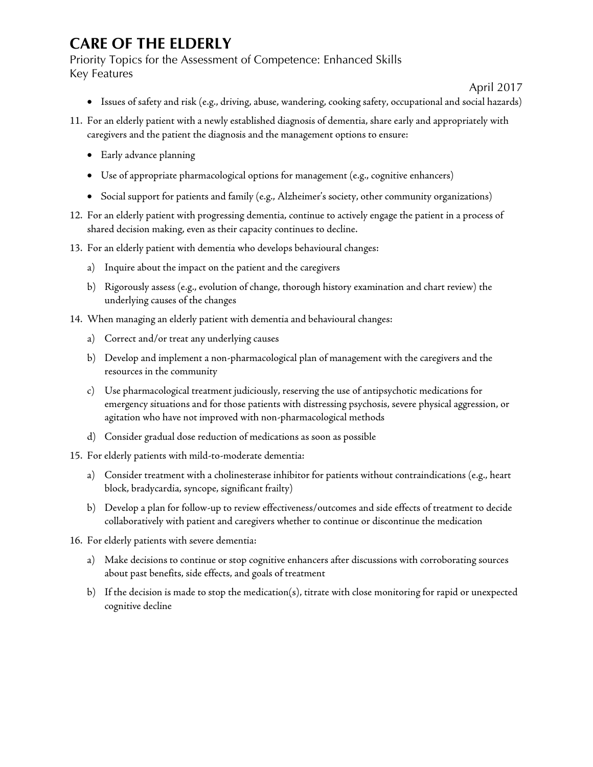Priority Topics for the Assessment of Competence: Enhanced Skills Key Features

#### April 2017

- Issues of safety and risk (e.g., driving, abuse, wandering, cooking safety, occupational and social hazards)
- 11. For an elderly patient with a newly established diagnosis of dementia, share early and appropriately with caregivers and the patient the diagnosis and the management options to ensure:
	- Early advance planning
	- Use of appropriate pharmacological options for management (e.g., cognitive enhancers)
	- Social support for patients and family (e.g., Alzheimer's society, other community organizations)
- 12. For an elderly patient with progressing dementia, continue to actively engage the patient in a process of shared decision making, even as their capacity continues to decline.
- 13. For an elderly patient with dementia who develops behavioural changes:
	- a) Inquire about the impact on the patient and the caregivers
	- b) Rigorously assess (e.g., evolution of change, thorough history examination and chart review) the underlying causes of the changes
- 14. When managing an elderly patient with dementia and behavioural changes:
	- a) Correct and/or treat any underlying causes
	- b) Develop and implement a non-pharmacological plan of management with the caregivers and the resources in the community
	- c) Use pharmacological treatment judiciously, reserving the use of antipsychotic medications for emergency situations and for those patients with distressing psychosis, severe physical aggression, or agitation who have not improved with non-pharmacological methods
	- d) Consider gradual dose reduction of medications as soon as possible
- 15. For elderly patients with mild-to-moderate dementia:
	- a) Consider treatment with a cholinesterase inhibitor for patients without contraindications (e.g., heart block, bradycardia, syncope, significant frailty)
	- b) Develop a plan for follow-up to review effectiveness/outcomes and side effects of treatment to decide collaboratively with patient and caregivers whether to continue or discontinue the medication
- 16. For elderly patients with severe dementia:
	- a) Make decisions to continue or stop cognitive enhancers after discussions with corroborating sources about past benefits, side effects, and goals of treatment
	- b) If the decision is made to stop the medication(s), titrate with close monitoring for rapid or unexpected cognitive decline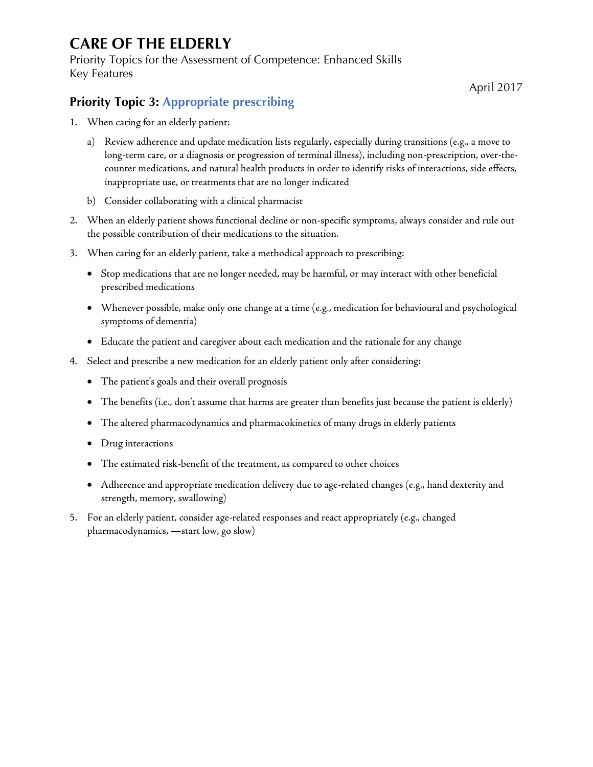Priority Topics for the Assessment of Competence: Enhanced Skills Key Features

April 2017

#### <span id="page-8-0"></span>**Priority Topic 3: Appropriate prescribing**

- 1. When caring for an elderly patient:
	- a) Review adherence and update medication lists regularly, especially during transitions (e.g., a move to long-term care, or a diagnosis or progression of terminal illness), including non-prescription, over-thecounter medications, and natural health products in order to identify risks of interactions, side effects, inappropriate use, or treatments that are no longer indicated
	- b) Consider collaborating with a clinical pharmacist
- 2. When an elderly patient shows functional decline or non-specific symptoms, always consider and rule out the possible contribution of their medications to the situation.
- 3. When caring for an elderly patient, take a methodical approach to prescribing:
	- Stop medications that are no longer needed, may be harmful, or may interact with other beneficial prescribed medications
	- Whenever possible, make only one change at a time (e.g., medication for behavioural and psychological symptoms of dementia)
	- Educate the patient and caregiver about each medication and the rationale for any change
- 4. Select and prescribe a new medication for an elderly patient only after considering:
	- The patient's goals and their overall prognosis
	- The benefits (i.e., don't assume that harms are greater than benefits just because the patient is elderly)
	- The altered pharmacodynamics and pharmacokinetics of many drugs in elderly patients
	- Drug interactions
	- The estimated risk-benefit of the treatment, as compared to other choices
	- Adherence and appropriate medication delivery due to age-related changes (e.g., hand dexterity and strength, memory, swallowing)
- 5. For an elderly patient, consider age-related responses and react appropriately (e.g., changed pharmacodynamics, —start low, go slow)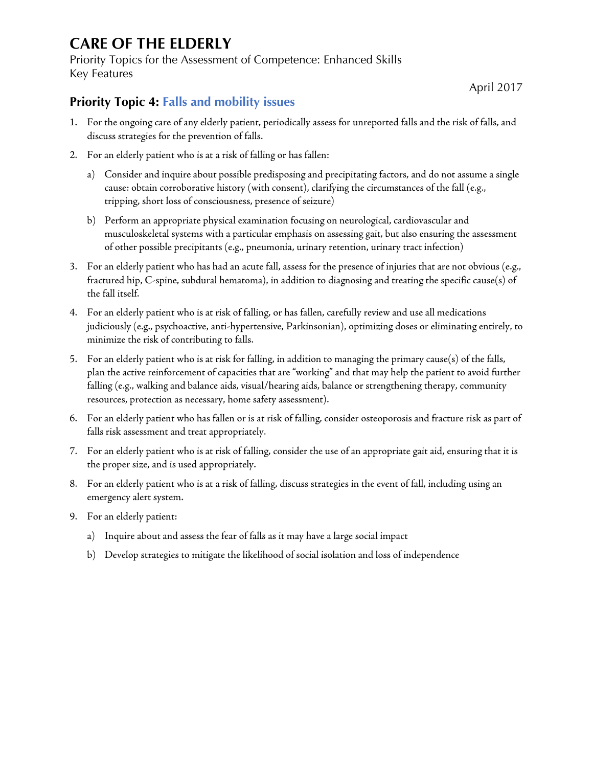Priority Topics for the Assessment of Competence: Enhanced Skills Key Features

April 2017

#### <span id="page-9-0"></span>**Priority Topic 4: Falls and mobility issues**

- 1. For the ongoing care of any elderly patient, periodically assess for unreported falls and the risk of falls, and discuss strategies for the prevention of falls.
- 2. For an elderly patient who is at a risk of falling or has fallen:
	- a) Consider and inquire about possible predisposing and precipitating factors, and do not assume a single cause: obtain corroborative history (with consent), clarifying the circumstances of the fall (e.g., tripping, short loss of consciousness, presence of seizure)
	- b) Perform an appropriate physical examination focusing on neurological, cardiovascular and musculoskeletal systems with a particular emphasis on assessing gait, but also ensuring the assessment of other possible precipitants (e.g., pneumonia, urinary retention, urinary tract infection)
- 3. For an elderly patient who has had an acute fall, assess for the presence of injuries that are not obvious (e.g., fractured hip, C-spine, subdural hematoma), in addition to diagnosing and treating the specific cause(s) of the fall itself.
- 4. For an elderly patient who is at risk of falling, or has fallen, carefully review and use all medications judiciously (e.g., psychoactive, anti-hypertensive, Parkinsonian), optimizing doses or eliminating entirely, to minimize the risk of contributing to falls.
- 5. For an elderly patient who is at risk for falling, in addition to managing the primary cause(s) of the falls, plan the active reinforcement of capacities that are "working" and that may help the patient to avoid further falling (e.g., walking and balance aids, visual/hearing aids, balance or strengthening therapy, community resources, protection as necessary, home safety assessment).
- 6. For an elderly patient who has fallen or is at risk of falling, consider osteoporosis and fracture risk as part of falls risk assessment and treat appropriately.
- 7. For an elderly patient who is at risk of falling, consider the use of an appropriate gait aid, ensuring that it is the proper size, and is used appropriately.
- 8. For an elderly patient who is at a risk of falling, discuss strategies in the event of fall, including using an emergency alert system.
- 9. For an elderly patient:
	- a) Inquire about and assess the fear of falls as it may have a large social impact
	- b) Develop strategies to mitigate the likelihood of social isolation and loss of independence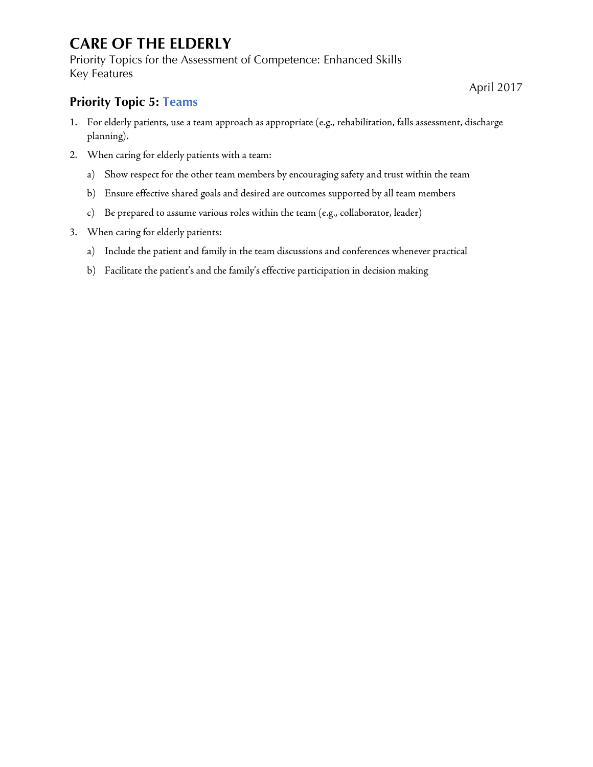Priority Topics for the Assessment of Competence: Enhanced Skills Key Features

#### April 2017

#### <span id="page-10-0"></span>**Priority Topic 5: Teams**

- 1. For elderly patients, use a team approach as appropriate (e.g., rehabilitation, falls assessment, discharge planning).
- 2. When caring for elderly patients with a team:
	- a) Show respect for the other team members by encouraging safety and trust within the team
	- b) Ensure effective shared goals and desired are outcomes supported by all team members
	- c) Be prepared to assume various roles within the team (e.g., collaborator, leader)
- 3. When caring for elderly patients:
	- a) Include the patient and family in the team discussions and conferences whenever practical
	- b) Facilitate the patient's and the family's effective participation in decision making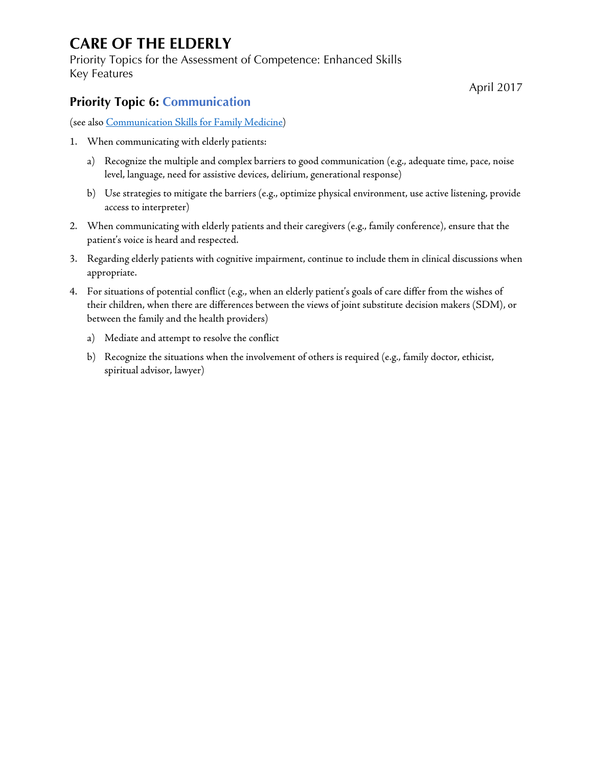Priority Topics for the Assessment of Competence: Enhanced Skills Key Features

#### <span id="page-11-0"></span>**Priority Topic 6: Communication**

(see als[o Communication Skills for Family Medicine\)](http://www.cfpc.ca/uploadedFiles/Education/Communication%20Skills.pdf)

- 1. When communicating with elderly patients:
	- a) Recognize the multiple and complex barriers to good communication (e.g., adequate time, pace, noise level, language, need for assistive devices, delirium, generational response)
	- b) Use strategies to mitigate the barriers (e.g., optimize physical environment, use active listening, provide access to interpreter)
- 2. When communicating with elderly patients and their caregivers (e.g., family conference), ensure that the patient's voice is heard and respected.
- 3. Regarding elderly patients with cognitive impairment, continue to include them in clinical discussions when appropriate.
- 4. For situations of potential conflict (e.g., when an elderly patient's goals of care differ from the wishes of their children, when there are differences between the views of joint substitute decision makers (SDM), or between the family and the health providers)
	- a) Mediate and attempt to resolve the conflict
	- b) Recognize the situations when the involvement of others is required (e.g., family doctor, ethicist, spiritual advisor, lawyer)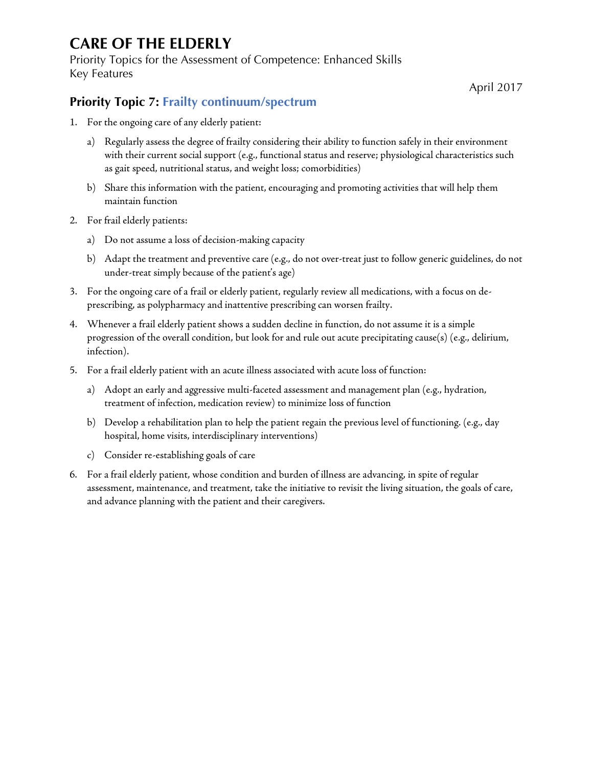Priority Topics for the Assessment of Competence: Enhanced Skills Key Features

#### <span id="page-12-0"></span>**Priority Topic 7: Frailty continuum/spectrum**

- 1. For the ongoing care of any elderly patient:
	- a) Regularly assess the degree of frailty considering their ability to function safely in their environment with their current social support (e.g., functional status and reserve; physiological characteristics such as gait speed, nutritional status, and weight loss; comorbidities)
	- b) Share this information with the patient, encouraging and promoting activities that will help them maintain function
- 2. For frail elderly patients:
	- a) Do not assume a loss of decision-making capacity
	- b) Adapt the treatment and preventive care (e.g., do not over-treat just to follow generic guidelines, do not under-treat simply because of the patient's age)
- 3. For the ongoing care of a frail or elderly patient, regularly review all medications, with a focus on deprescribing, as polypharmacy and inattentive prescribing can worsen frailty.
- 4. Whenever a frail elderly patient shows a sudden decline in function, do not assume it is a simple progression of the overall condition, but look for and rule out acute precipitating cause(s) (e.g., delirium, infection).
- 5. For a frail elderly patient with an acute illness associated with acute loss of function:
	- a) Adopt an early and aggressive multi-faceted assessment and management plan (e.g., hydration, treatment of infection, medication review) to minimize loss of function
	- b) Develop a rehabilitation plan to help the patient regain the previous level of functioning. (e.g., day hospital, home visits, interdisciplinary interventions)
	- c) Consider re-establishing goals of care
- 6. For a frail elderly patient, whose condition and burden of illness are advancing, in spite of regular assessment, maintenance, and treatment, take the initiative to revisit the living situation, the goals of care, and advance planning with the patient and their caregivers.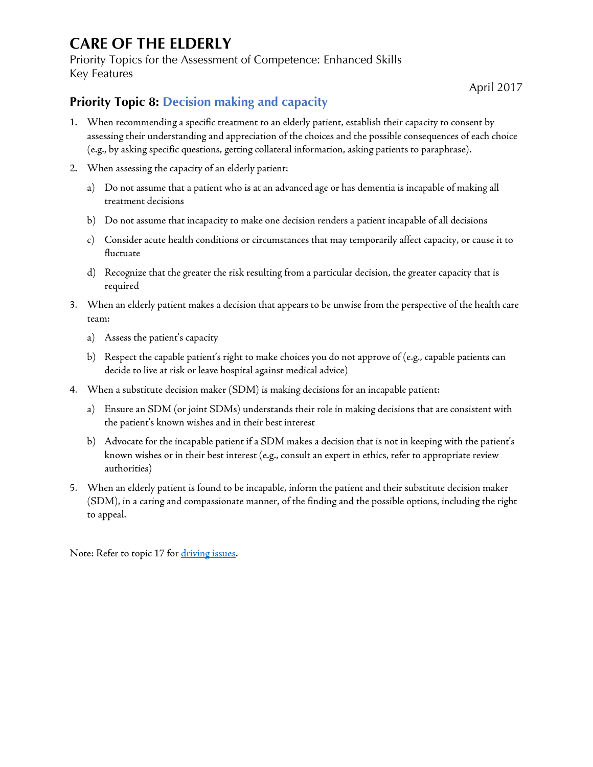Priority Topics for the Assessment of Competence: Enhanced Skills Key Features

April 2017

#### <span id="page-13-0"></span>**Priority Topic 8: Decision making and capacity**

- 1. When recommending a specific treatment to an elderly patient, establish their capacity to consent by assessing their understanding and appreciation of the choices and the possible consequences of each choice (e.g., by asking specific questions, getting collateral information, asking patients to paraphrase).
- 2. When assessing the capacity of an elderly patient:
	- a) Do not assume that a patient who is at an advanced age or has dementia is incapable of making all treatment decisions
	- b) Do not assume that incapacity to make one decision renders a patient incapable of all decisions
	- c) Consider acute health conditions or circumstances that may temporarily affect capacity, or cause it to fluctuate
	- d) Recognize that the greater the risk resulting from a particular decision, the greater capacity that is required
- 3. When an elderly patient makes a decision that appears to be unwise from the perspective of the health care team:
	- a) Assess the patient's capacity
	- b) Respect the capable patient's right to make choices you do not approve of (e.g., capable patients can decide to live at risk or leave hospital against medical advice)
- 4. When a substitute decision maker (SDM) is making decisions for an incapable patient:
	- a) Ensure an SDM (or joint SDMs) understands their role in making decisions that are consistent with the patient's known wishes and in their best interest
	- b) Advocate for the incapable patient if a SDM makes a decision that is not in keeping with the patient's known wishes or in their best interest (e.g., consult an expert in ethics, refer to appropriate review authorities)
- 5. When an elderly patient is found to be incapable, inform the patient and their substitute decision maker (SDM), in a caring and compassionate manner, of the finding and the possible options, including the right to appeal.

Note: Refer to topic 17 for [driving issues.](#page-22-0)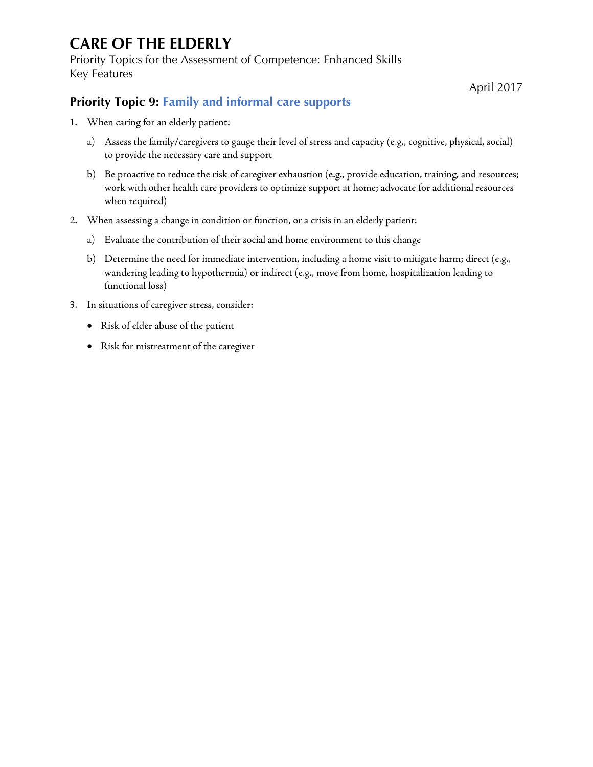Priority Topics for the Assessment of Competence: Enhanced Skills Key Features

April 2017

#### <span id="page-14-0"></span>**Priority Topic 9: Family and informal care supports**

- 1. When caring for an elderly patient:
	- a) Assess the family/caregivers to gauge their level of stress and capacity (e.g., cognitive, physical, social) to provide the necessary care and support
	- b) Be proactive to reduce the risk of caregiver exhaustion (e.g., provide education, training, and resources; work with other health care providers to optimize support at home; advocate for additional resources when required)
- 2. When assessing a change in condition or function, or a crisis in an elderly patient:
	- a) Evaluate the contribution of their social and home environment to this change
	- b) Determine the need for immediate intervention, including a home visit to mitigate harm; direct (e.g., wandering leading to hypothermia) or indirect (e.g., move from home, hospitalization leading to functional loss)
- 3. In situations of caregiver stress, consider:
	- Risk of elder abuse of the patient
	- Risk for mistreatment of the caregiver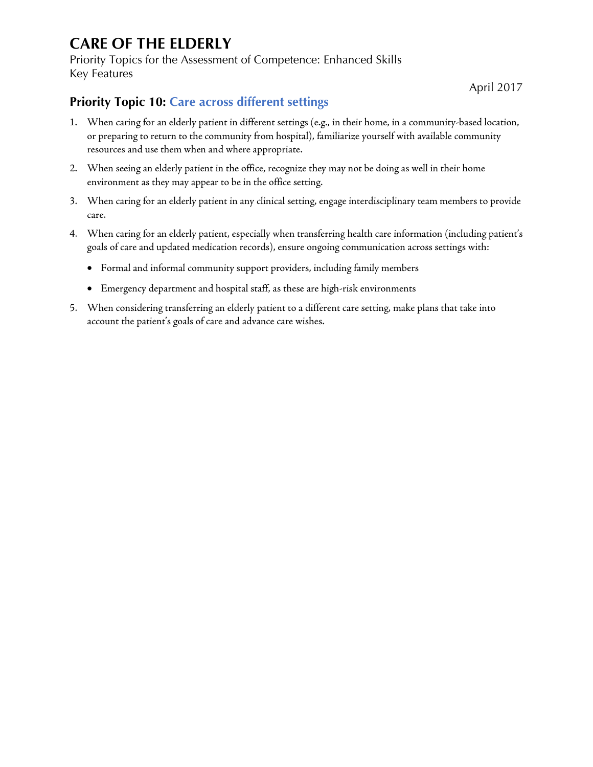Priority Topics for the Assessment of Competence: Enhanced Skills Key Features

April 2017

#### <span id="page-15-0"></span>**Priority Topic 10: Care across different settings**

- 1. When caring for an elderly patient in different settings (e.g., in their home, in a community-based location, or preparing to return to the community from hospital), familiarize yourself with available community resources and use them when and where appropriate.
- 2. When seeing an elderly patient in the office, recognize they may not be doing as well in their home environment as they may appear to be in the office setting.
- 3. When caring for an elderly patient in any clinical setting, engage interdisciplinary team members to provide care.
- 4. When caring for an elderly patient, especially when transferring health care information (including patient's goals of care and updated medication records), ensure ongoing communication across settings with:
	- Formal and informal community support providers, including family members
	- Emergency department and hospital staff, as these are high-risk environments
- 5. When considering transferring an elderly patient to a different care setting, make plans that take into account the patient's goals of care and advance care wishes.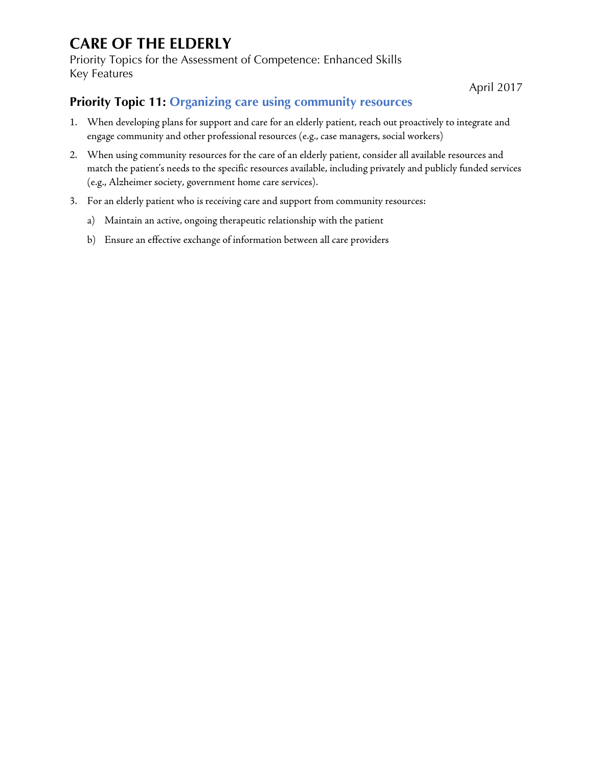Priority Topics for the Assessment of Competence: Enhanced Skills Key Features

April 2017

#### <span id="page-16-0"></span>**Priority Topic 11: Organizing care using community resources**

- 1. When developing plans for support and care for an elderly patient, reach out proactively to integrate and engage community and other professional resources (e.g., case managers, social workers)
- 2. When using community resources for the care of an elderly patient, consider all available resources and match the patient's needs to the specific resources available, including privately and publicly funded services (e.g., Alzheimer society, government home care services).
- 3. For an elderly patient who is receiving care and support from community resources:
	- a) Maintain an active, ongoing therapeutic relationship with the patient
	- b) Ensure an effective exchange of information between all care providers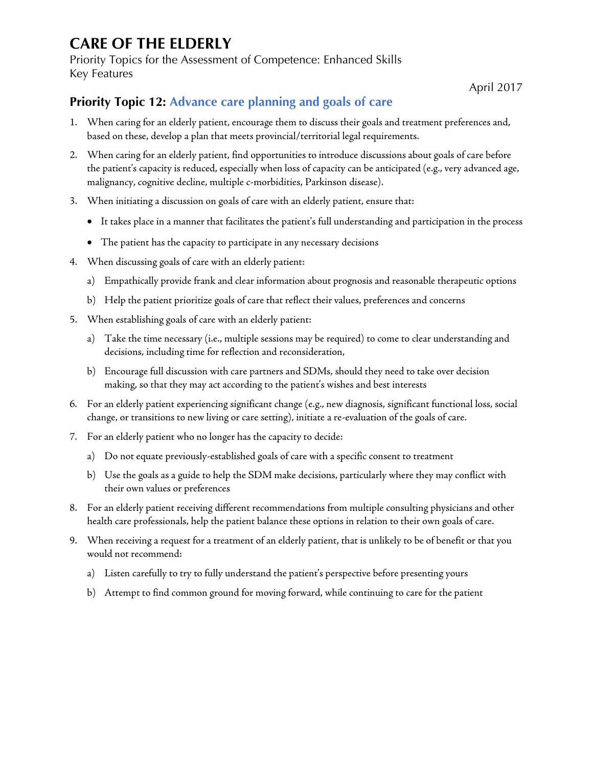Priority Topics for the Assessment of Competence: Enhanced Skills Key Features

April 2017

#### <span id="page-17-0"></span>**Priority Topic 12: Advance care planning and goals of care**

- 1. When caring for an elderly patient, encourage them to discuss their goals and treatment preferences and, based on these, develop a plan that meets provincial/territorial legal requirements.
- 2. When caring for an elderly patient, find opportunities to introduce discussions about goals of care before the patient's capacity is reduced, especially when loss of capacity can be anticipated (e.g., very advanced age, malignancy, cognitive decline, multiple c-morbidities, Parkinson disease).
- 3. When initiating a discussion on goals of care with an elderly patient, ensure that:
	- It takes place in a manner that facilitates the patient's full understanding and participation in the process
	- The patient has the capacity to participate in any necessary decisions
- 4. When discussing goals of care with an elderly patient:
	- a) Empathically provide frank and clear information about prognosis and reasonable therapeutic options
	- b) Help the patient prioritize goals of care that reflect their values, preferences and concerns
- 5. When establishing goals of care with an elderly patient:
	- a) Take the time necessary (i.e., multiple sessions may be required) to come to clear understanding and decisions, including time for reflection and reconsideration,
	- b) Encourage full discussion with care partners and SDMs, should they need to take over decision making, so that they may act according to the patient's wishes and best interests
- 6. For an elderly patient experiencing significant change (e.g., new diagnosis, significant functional loss, social change, or transitions to new living or care setting), initiate a re-evaluation of the goals of care.
- 7. For an elderly patient who no longer has the capacity to decide:
	- a) Do not equate previously-established goals of care with a specific consent to treatment
	- b) Use the goals as a guide to help the SDM make decisions, particularly where they may conflict with their own values or preferences
- 8. For an elderly patient receiving different recommendations from multiple consulting physicians and other health care professionals, help the patient balance these options in relation to their own goals of care.
- 9. When receiving a request for a treatment of an elderly patient, that is unlikely to be of benefit or that you would not recommend:
	- a) Listen carefully to try to fully understand the patient's perspective before presenting yours
	- b) Attempt to find common ground for moving forward, while continuing to care for the patient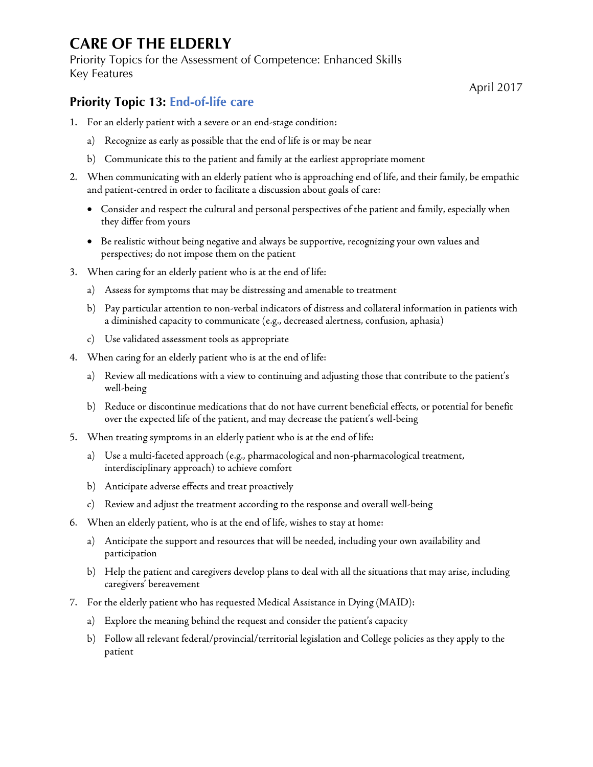Priority Topics for the Assessment of Competence: Enhanced Skills Key Features

April 2017

#### <span id="page-18-0"></span>**Priority Topic 13: End-of-life care**

- 1. For an elderly patient with a severe or an end-stage condition:
	- a) Recognize as early as possible that the end of life is or may be near
	- b) Communicate this to the patient and family at the earliest appropriate moment
- 2. When communicating with an elderly patient who is approaching end of life, and their family, be empathic and patient-centred in order to facilitate a discussion about goals of care:
	- Consider and respect the cultural and personal perspectives of the patient and family, especially when they differ from yours
	- Be realistic without being negative and always be supportive, recognizing your own values and perspectives; do not impose them on the patient
- 3. When caring for an elderly patient who is at the end of life:
	- a) Assess for symptoms that may be distressing and amenable to treatment
	- b) Pay particular attention to non-verbal indicators of distress and collateral information in patients with a diminished capacity to communicate (e.g., decreased alertness, confusion, aphasia)
	- c) Use validated assessment tools as appropriate
- 4. When caring for an elderly patient who is at the end of life:
	- a) Review all medications with a view to continuing and adjusting those that contribute to the patient's well-being
	- b) Reduce or discontinue medications that do not have current beneficial effects, or potential for benefit over the expected life of the patient, and may decrease the patient's well-being
- 5. When treating symptoms in an elderly patient who is at the end of life:
	- a) Use a multi-faceted approach (e.g., pharmacological and non-pharmacological treatment, interdisciplinary approach) to achieve comfort
	- b) Anticipate adverse effects and treat proactively
	- c) Review and adjust the treatment according to the response and overall well-being
- 6. When an elderly patient, who is at the end of life, wishes to stay at home:
	- a) Anticipate the support and resources that will be needed, including your own availability and participation
	- b) Help the patient and caregivers develop plans to deal with all the situations that may arise, including caregivers' bereavement
- 7. For the elderly patient who has requested Medical Assistance in Dying (MAID):
	- a) Explore the meaning behind the request and consider the patient's capacity
	- b) Follow all relevant federal/provincial/territorial legislation and College policies as they apply to the patient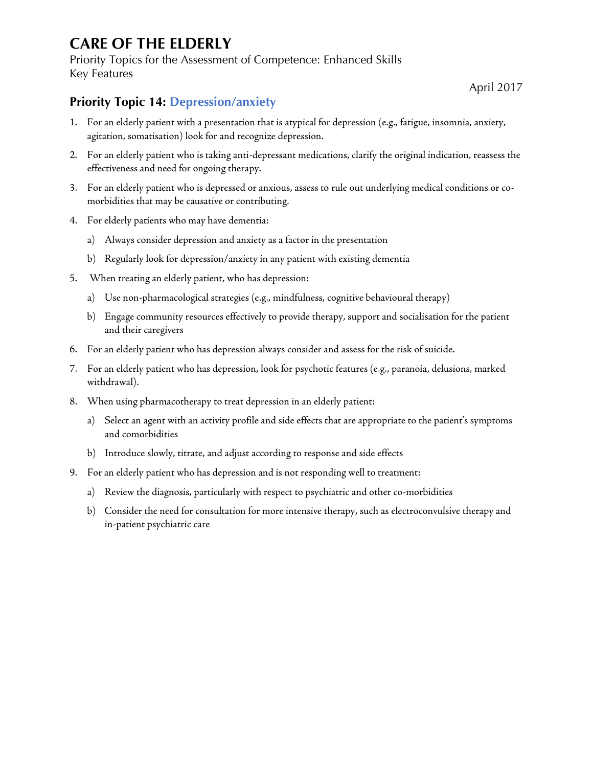Priority Topics for the Assessment of Competence: Enhanced Skills Key Features

April 2017

#### <span id="page-19-0"></span>**Priority Topic 14: Depression/anxiety**

- 1. For an elderly patient with a presentation that is atypical for depression (e.g., fatigue, insomnia, anxiety, agitation, somatisation) look for and recognize depression.
- 2. For an elderly patient who is taking anti-depressant medications, clarify the original indication, reassess the effectiveness and need for ongoing therapy.
- 3. For an elderly patient who is depressed or anxious, assess to rule out underlying medical conditions or comorbidities that may be causative or contributing.
- 4. For elderly patients who may have dementia:
	- a) Always consider depression and anxiety as a factor in the presentation
	- b) Regularly look for depression/anxiety in any patient with existing dementia
- 5. When treating an elderly patient, who has depression:
	- a) Use non-pharmacological strategies (e.g., mindfulness, cognitive behavioural therapy)
	- b) Engage community resources effectively to provide therapy, support and socialisation for the patient and their caregivers
- 6. For an elderly patient who has depression always consider and assess for the risk of suicide.
- 7. For an elderly patient who has depression, look for psychotic features (e.g., paranoia, delusions, marked withdrawal).
- 8. When using pharmacotherapy to treat depression in an elderly patient:
	- a) Select an agent with an activity profile and side effects that are appropriate to the patient's symptoms and comorbidities
	- b) Introduce slowly, titrate, and adjust according to response and side effects
- 9. For an elderly patient who has depression and is not responding well to treatment:
	- a) Review the diagnosis, particularly with respect to psychiatric and other co-morbidities
	- b) Consider the need for consultation for more intensive therapy, such as electroconvulsive therapy and in-patient psychiatric care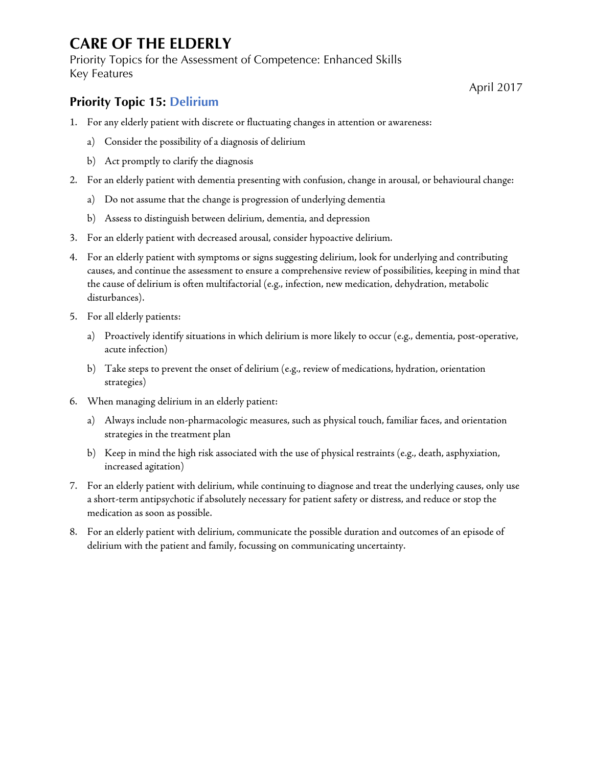Priority Topics for the Assessment of Competence: Enhanced Skills Key Features

#### <span id="page-20-0"></span>**Priority Topic 15: Delirium**

- 1. For any elderly patient with discrete or fluctuating changes in attention or awareness:
	- a) Consider the possibility of a diagnosis of delirium
	- b) Act promptly to clarify the diagnosis
- 2. For an elderly patient with dementia presenting with confusion, change in arousal, or behavioural change:
	- a) Do not assume that the change is progression of underlying dementia
	- b) Assess to distinguish between delirium, dementia, and depression
- 3. For an elderly patient with decreased arousal, consider hypoactive delirium.
- 4. For an elderly patient with symptoms or signs suggesting delirium, look for underlying and contributing causes, and continue the assessment to ensure a comprehensive review of possibilities, keeping in mind that the cause of delirium is often multifactorial (e.g., infection, new medication, dehydration, metabolic disturbances).
- 5. For all elderly patients:
	- a) Proactively identify situations in which delirium is more likely to occur (e.g., dementia, post-operative, acute infection)
	- b) Take steps to prevent the onset of delirium (e.g., review of medications, hydration, orientation strategies)
- 6. When managing delirium in an elderly patient:
	- a) Always include non-pharmacologic measures, such as physical touch, familiar faces, and orientation strategies in the treatment plan
	- b) Keep in mind the high risk associated with the use of physical restraints (e.g., death, asphyxiation, increased agitation)
- 7. For an elderly patient with delirium, while continuing to diagnose and treat the underlying causes, only use a short-term antipsychotic if absolutely necessary for patient safety or distress, and reduce or stop the medication as soon as possible.
- 8. For an elderly patient with delirium, communicate the possible duration and outcomes of an episode of delirium with the patient and family, focussing on communicating uncertainty.

April 2017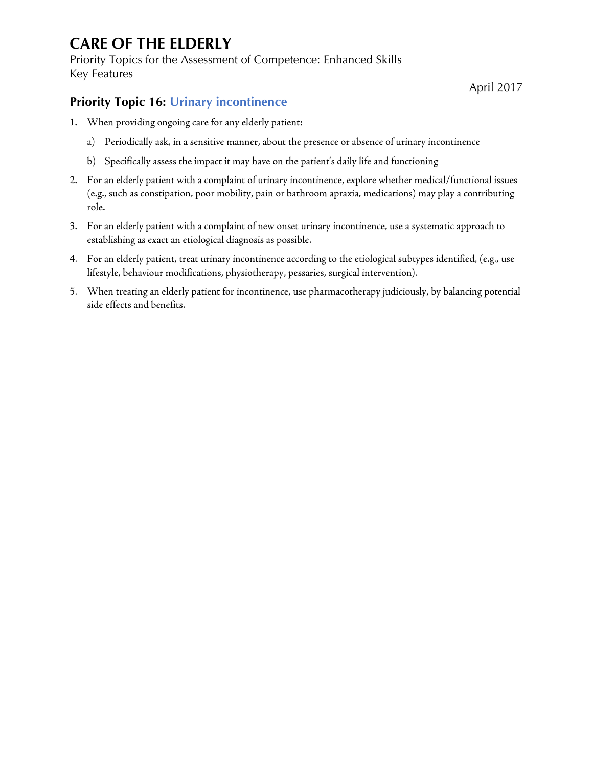Priority Topics for the Assessment of Competence: Enhanced Skills Key Features

April 2017

#### <span id="page-21-0"></span>**Priority Topic 16: Urinary incontinence**

- 1. When providing ongoing care for any elderly patient:
	- a) Periodically ask, in a sensitive manner, about the presence or absence of urinary incontinence
	- b) Specifically assess the impact it may have on the patient's daily life and functioning
- 2. For an elderly patient with a complaint of urinary incontinence, explore whether medical/functional issues (e.g., such as constipation, poor mobility, pain or bathroom apraxia, medications) may play a contributing role.
- 3. For an elderly patient with a complaint of new onset urinary incontinence, use a systematic approach to establishing as exact an etiological diagnosis as possible.
- 4. For an elderly patient, treat urinary incontinence according to the etiological subtypes identified, (e.g., use lifestyle, behaviour modifications, physiotherapy, pessaries, surgical intervention).
- 5. When treating an elderly patient for incontinence, use pharmacotherapy judiciously, by balancing potential side effects and benefits.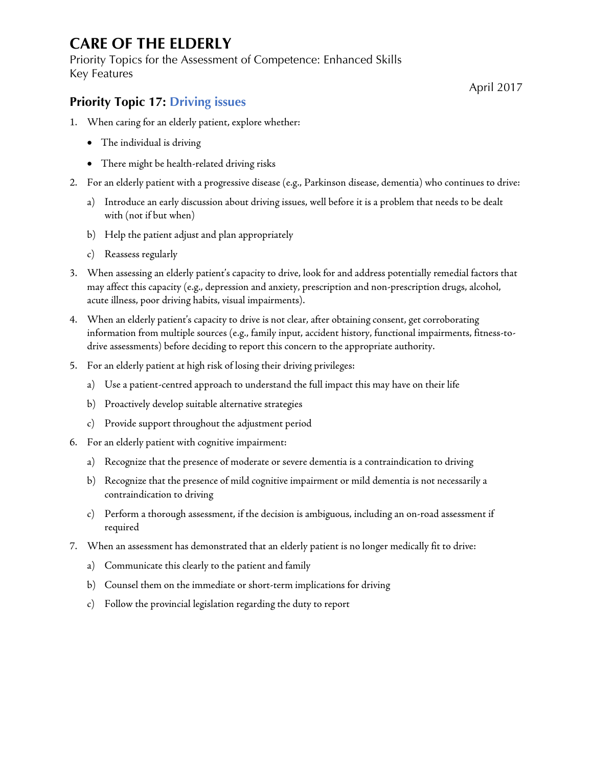Priority Topics for the Assessment of Competence: Enhanced Skills Key Features

April 2017

#### <span id="page-22-0"></span>**Priority Topic 17: Driving issues**

- 1. When caring for an elderly patient, explore whether:
	- The individual is driving
	- There might be health-related driving risks
- 2. For an elderly patient with a progressive disease (e.g., Parkinson disease, dementia) who continues to drive:
	- a) Introduce an early discussion about driving issues, well before it is a problem that needs to be dealt with (not if but when)
	- b) Help the patient adjust and plan appropriately
	- c) Reassess regularly
- 3. When assessing an elderly patient's capacity to drive, look for and address potentially remedial factors that may affect this capacity (e.g., depression and anxiety, prescription and non-prescription drugs, alcohol, acute illness, poor driving habits, visual impairments).
- 4. When an elderly patient's capacity to drive is not clear, after obtaining consent, get corroborating information from multiple sources (e.g., family input, accident history, functional impairments, fitness-todrive assessments) before deciding to report this concern to the appropriate authority.
- 5. For an elderly patient at high risk of losing their driving privileges:
	- a) Use a patient-centred approach to understand the full impact this may have on their life
	- b) Proactively develop suitable alternative strategies
	- c) Provide support throughout the adjustment period
- 6. For an elderly patient with cognitive impairment:
	- a) Recognize that the presence of moderate or severe dementia is a contraindication to driving
	- b) Recognize that the presence of mild cognitive impairment or mild dementia is not necessarily a contraindication to driving
	- c) Perform a thorough assessment, if the decision is ambiguous, including an on-road assessment if required
- 7. When an assessment has demonstrated that an elderly patient is no longer medically fit to drive:
	- a) Communicate this clearly to the patient and family
	- b) Counsel them on the immediate or short-term implications for driving
	- c) Follow the provincial legislation regarding the duty to report